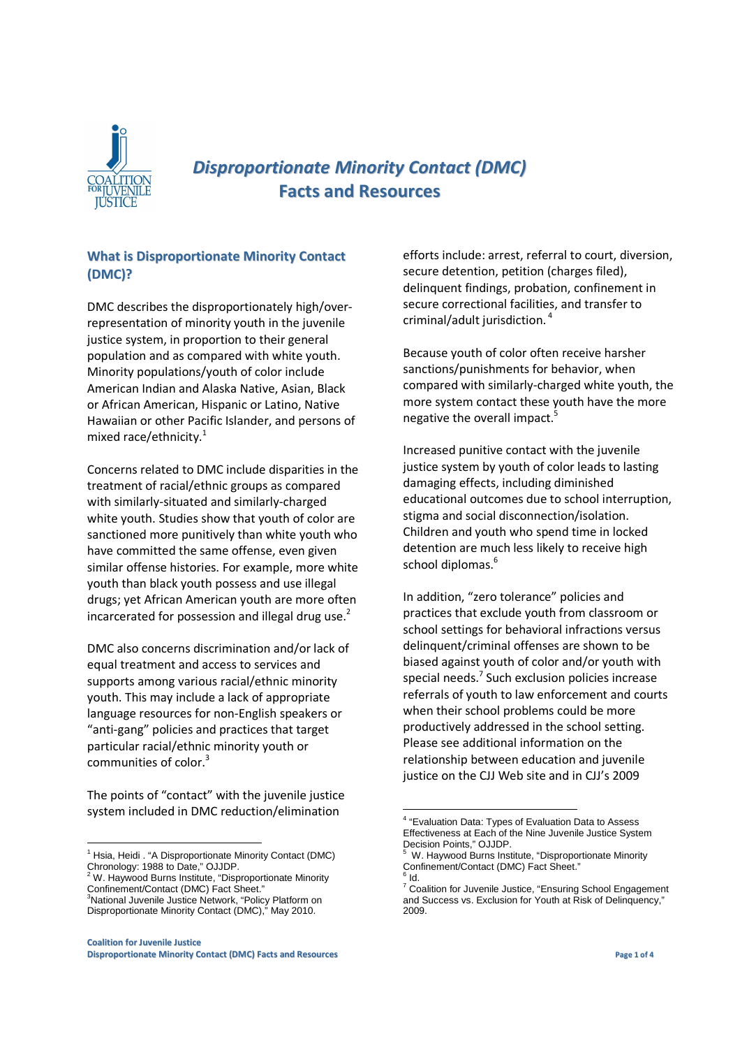

# *Disproportionate Minority Contact (DMC)* **Facts and Resources**

## **What is Disproportionate Minority Contact (DMC)?**

DMC describes the disproportionately high/overrepresentation of minority youth in the juvenile justice system, in proportion to their general population and as compared with white youth. Minority populations/youth of color include American Indian and Alaska Native, Asian, Black or African American, Hispanic or Latino, Native Hawaiian or other Pacific Islander, and persons of mixed race/ethnicity. $1$ 

Concerns related to DMC include disparities in the treatment of racial/ethnic groups as compared with similarly-situated and similarly-charged white youth. Studies show that youth of color are sanctioned more punitively than white youth who have committed the same offense, even given similar offense histories. For example, more white youth than black youth possess and use illegal drugs; yet African American youth are more often incarcerated for possession and illegal drug use. $2$ 

DMC also concerns discrimination and/or lack of equal treatment and access to services and supports among various racial/ethnic minority youth. This may include a lack of appropriate language resources for non-English speakers or "anti-gang" policies and practices that target particular racial/ethnic minority youth or communities of color.<sup>3</sup>

The points of "contact" with the juvenile justice system included in DMC reduction/elimination

**Coalition for Juvenile Justice Disproportionate Minority Contact (DMC) Facts and Resources Page 1 of 4**

efforts include: arrest, referral to court, diversion, secure detention, petition (charges filed), delinquent findings, probation, confinement in secure correctional facilities, and transfer to criminal/adult jurisdiction. $4$ 

Because youth of color often receive harsher sanctions/punishments for behavior, when compared with similarly-charged white youth, the more system contact these youth have the more negative the overall impact.<sup>5</sup>

Increased punitive contact with the juvenile justice system by youth of color leads to lasting damaging effects, including diminished educational outcomes due to school interruption, stigma and social disconnection/isolation. Children and youth who spend time in locked detention are much less likely to receive high school diplomas.<sup>6</sup>

In addition, "zero tolerance" policies and practices that exclude youth from classroom or school settings for behavioral infractions versus delinquent/criminal offenses are shown to be biased against youth of color and/or youth with special needs.<sup>7</sup> Such exclusion policies increase referrals of youth to law enforcement and courts when their school problems could be more productively addressed in the school setting. Please see additional information on the relationship between education and juvenile justice on the CJJ Web site and in CJJ's 2009

<sup>-</sup><sup>1</sup> Hsia, Heidi. "A Disproportionate Minority Contact (DMC) Chronology: 1988 to Date," OJJDP.<br><sup>2</sup> W. Haywood Burns Institute, "Disproportionate Minority

Confinement/Contact (DMC) Fact Sheet." <sup>3</sup>National Juvenile Justice Network, "Policy Platform on

Disproportionate Minority Contact (DMC)," May 2010.

 4 "Evaluation Data: Types of Evaluation Data to Assess Effectiveness at Each of the Nine Juvenile Justice System Decision Points," OJJDP. 5

W. Haywood Burns Institute, "Disproportionate Minority Confinement/Contact (DMC) Fact Sheet."

 $^6$  Id.

<sup>&</sup>lt;sup>7</sup> Coalition for Juvenile Justice, "Ensuring School Engagement and Success vs. Exclusion for Youth at Risk of Delinquency," 2009.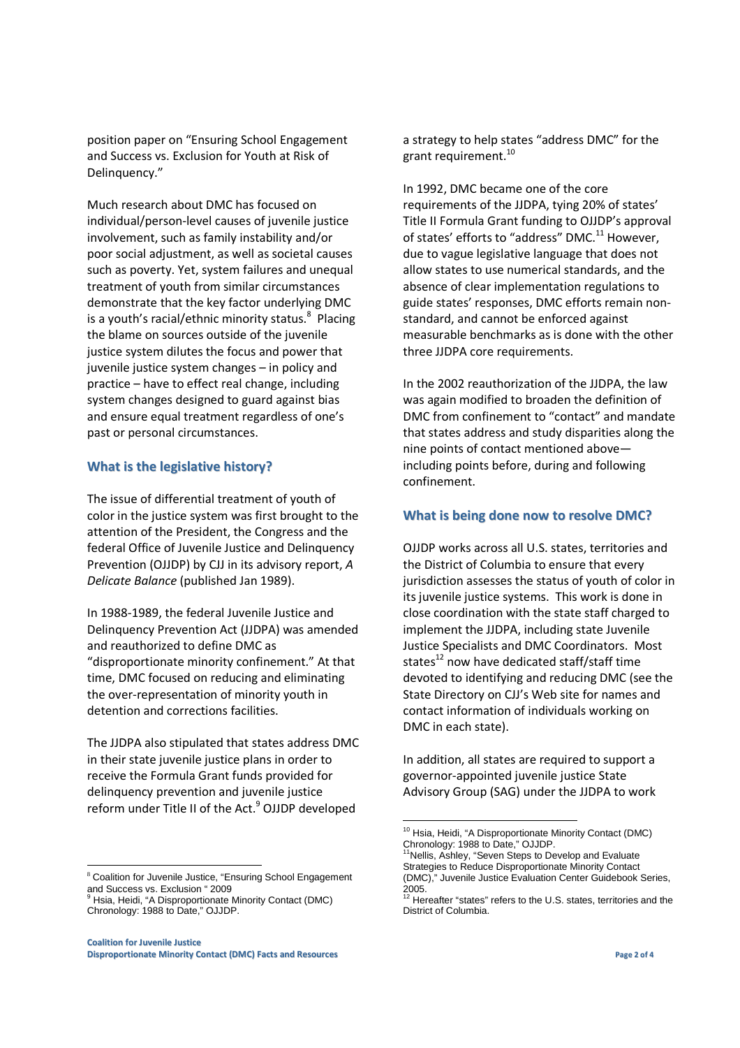position paper on "Ensuring School Engagement and Success vs. Exclusion for Youth at Risk of Delinquency."

Much research about DMC has focused on individual/person-level causes of juvenile justice involvement, such as family instability and/or poor social adjustment, as well as societal causes such as poverty. Yet, system failures and unequal treatment of youth from similar circumstances demonstrate that the key factor underlying DMC is a youth's racial/ethnic minority status.<sup>8</sup> Placing the blame on sources outside of the juvenile justice system dilutes the focus and power that juvenile justice system changes – in policy and practice – have to effect real change, including system changes designed to guard against bias and ensure equal treatment regardless of one's past or personal circumstances.

### **What is the legislative history?**

The issue of differential treatment of youth of color in the justice system was first brought to the attention of the President, the Congress and the federal Office of Juvenile Justice and Delinquency Prevention (OJJDP) by CJJ in its advisory report, *A Delicate Balance* (published Jan 1989).

In 1988-1989, the federal Juvenile Justice and Delinquency Prevention Act (JJDPA) was amended and reauthorized to define DMC as "disproportionate minority confinement." At that time, DMC focused on reducing and eliminating the over-representation of minority youth in detention and corrections facilities.

The JJDPA also stipulated that states address DMC in their state juvenile justice plans in order to receive the Formula Grant funds provided for delinquency prevention and juvenile justice reform under Title II of the Act.<sup>9</sup> OJJDP developed

<sup>8</sup> Coalition for Juvenile Justice, "Ensuring School Engagement and Success vs. Exclusion " 2009<br><sup>9</sup> Hsia, Heidi, "A Disproportionate Minority Contact (DMC)

-

a strategy to help states "address DMC" for the grant requirement.<sup>10</sup>

In 1992, DMC became one of the core requirements of the JJDPA, tying 20% of states' Title II Formula Grant funding to OJJDP's approval of states' efforts to "address" DMC.<sup>11</sup> However, due to vague legislative language that does not allow states to use numerical standards, and the absence of clear implementation regulations to guide states' responses, DMC efforts remain nonstandard, and cannot be enforced against measurable benchmarks as is done with the other three JJDPA core requirements.

In the 2002 reauthorization of the JJDPA, the law was again modified to broaden the definition of DMC from confinement to "contact" and mandate that states address and study disparities along the nine points of contact mentioned above including points before, during and following confinement.

### **What is being done now to resolve DMC?**

OJJDP works across all U.S. states, territories and the District of Columbia to ensure that every jurisdiction assesses the status of youth of color in its juvenile justice systems. This work is done in close coordination with the state staff charged to implement the JJDPA, including state Juvenile Justice Specialists and DMC Coordinators. Most states<sup>12</sup> now have dedicated staff/staff time devoted to identifying and reducing DMC (see the State Directory on CJJ's Web site for names and contact information of individuals working on DMC in each state).

In addition, all states are required to support a governor-appointed juvenile justice State Advisory Group (SAG) under the JJDPA to work

Chronology: 1988 to Date," OJJDP.

<sup>&</sup>lt;sup>10</sup> Hsia, Heidi, "A Disproportionate Minority Contact (DMC) Chronology: 1988 to Date," OJJDP. <sup>11</sup>Nellis, Ashley, "Seven Steps to Develop and Evaluate

Strategies to Reduce Disproportionate Minority Contact (DMC)," Juvenile Justice Evaluation Center Guidebook Series,

<sup>2005.&</sup>lt;br><sup>12</sup> Hereafter "states" refers to the U.S. states, territories and the District of Columbia.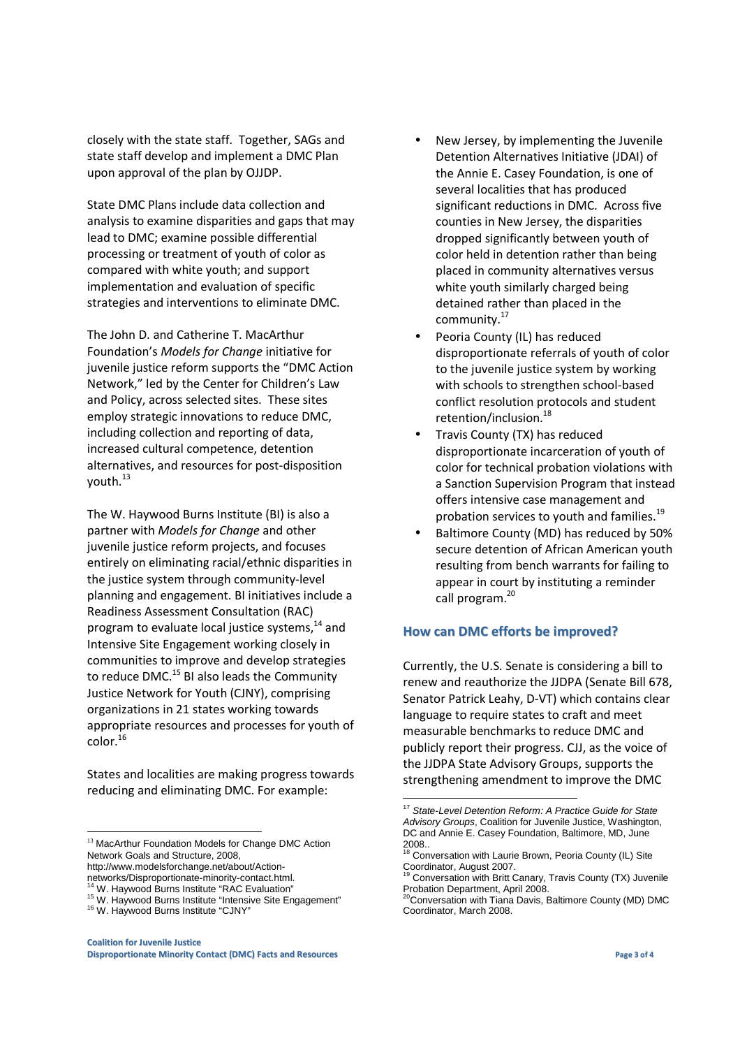closely with the state staff. Together, SAGs and state staff develop and implement a DMC Plan upon approval of the plan by OJJDP.

State DMC Plans include data collection and analysis to examine disparities and gaps that may lead to DMC; examine possible differential processing or treatment of youth of color as compared with white youth; and support implementation and evaluation of specific strategies and interventions to eliminate DMC.

The John D. and Catherine T. MacArthur Foundation's *Models for Change* initiative for juvenile justice reform supports the "DMC Action Network," led by the Center for Children's Law and Policy, across selected sites. These sites employ strategic innovations to reduce DMC, including collection and reporting of data, increased cultural competence, detention alternatives, and resources for post-disposition youth.<sup>13</sup>

The W. Haywood Burns Institute (BI) is also a partner with *Models for Change* and other juvenile justice reform projects, and focuses entirely on eliminating racial/ethnic disparities in the justice system through community-level planning and engagement. BI initiatives include a Readiness Assessment Consultation (RAC) program to evaluate local justice systems,<sup>14</sup> and Intensive Site Engagement working closely in communities to improve and develop strategies to reduce DMC.<sup>15</sup> BI also leads the Community Justice Network for Youth (CJNY), comprising organizations in 21 states working towards appropriate resources and processes for youth of  $color.<sup>16</sup>$ 

States and localities are making progress towards reducing and eliminating DMC. For example:

-

- New Jersey, by implementing the Juvenile Detention Alternatives Initiative (JDAI) of the Annie E. Casey Foundation, is one of several localities that has produced significant reductions in DMC. Across five counties in New Jersey, the disparities dropped significantly between youth of color held in detention rather than being placed in community alternatives versus white youth similarly charged being detained rather than placed in the community.<sup>17</sup>
- Peoria County (IL) has reduced disproportionate referrals of youth of color to the juvenile justice system by working with schools to strengthen school-based conflict resolution protocols and student retention/inclusion.<sup>18</sup>
- Travis County (TX) has reduced disproportionate incarceration of youth of color for technical probation violations with a Sanction Supervision Program that instead offers intensive case management and probation services to youth and families.<sup>19</sup>
- Baltimore County (MD) has reduced by 50% secure detention of African American youth resulting from bench warrants for failing to appear in court by instituting a reminder call program.<sup>20</sup>

## **How can DMC efforts be improved?**

Currently, the U.S. Senate is considering a bill to renew and reauthorize the JJDPA (Senate Bill 678, Senator Patrick Leahy, D-VT) which contains clear language to require states to craft and meet measurable benchmarks to reduce DMC and publicly report their progress. CJJ, as the voice of the JJDPA State Advisory Groups, supports the strengthening amendment to improve the DMC

<sup>&</sup>lt;sup>13</sup> MacArthur Foundation Models for Change DMC Action Network Goals and Structure, 2008,

http://www.modelsforchange.net/about/Action-

networks/Disproportionate-minority-contact.html.

<sup>&</sup>lt;sup>14</sup> W. Haywood Burns Institute "RAC Evaluation"

<sup>&</sup>lt;sup>15</sup> W. Haywood Burns Institute "Intensive Site Engagement" <sup>16</sup> W. Haywood Burns Institute "CJNY"

**Coalition for Juvenile Justice Disproportionate Minority Contact (DMC) Facts and Resources Page 3 of 4**

 <sup>17</sup> State-Level Detention Reform: A Practice Guide for State Advisory Groups, Coalition for Juvenile Justice, Washington, DC and Annie E. Casey Foundation, Baltimore, MD, June

<sup>2008..&</sup>lt;br><sup>18</sup> Conversation with Laurie Brown, Peoria County (IL) Site Coordinator, August 2007.

<sup>19</sup> Conversation with Britt Canary, Travis County (TX) Juvenile Probation Department, April 2008.

<sup>20</sup>Conversation with Tiana Davis, Baltimore County (MD) DMC Coordinator, March 2008.